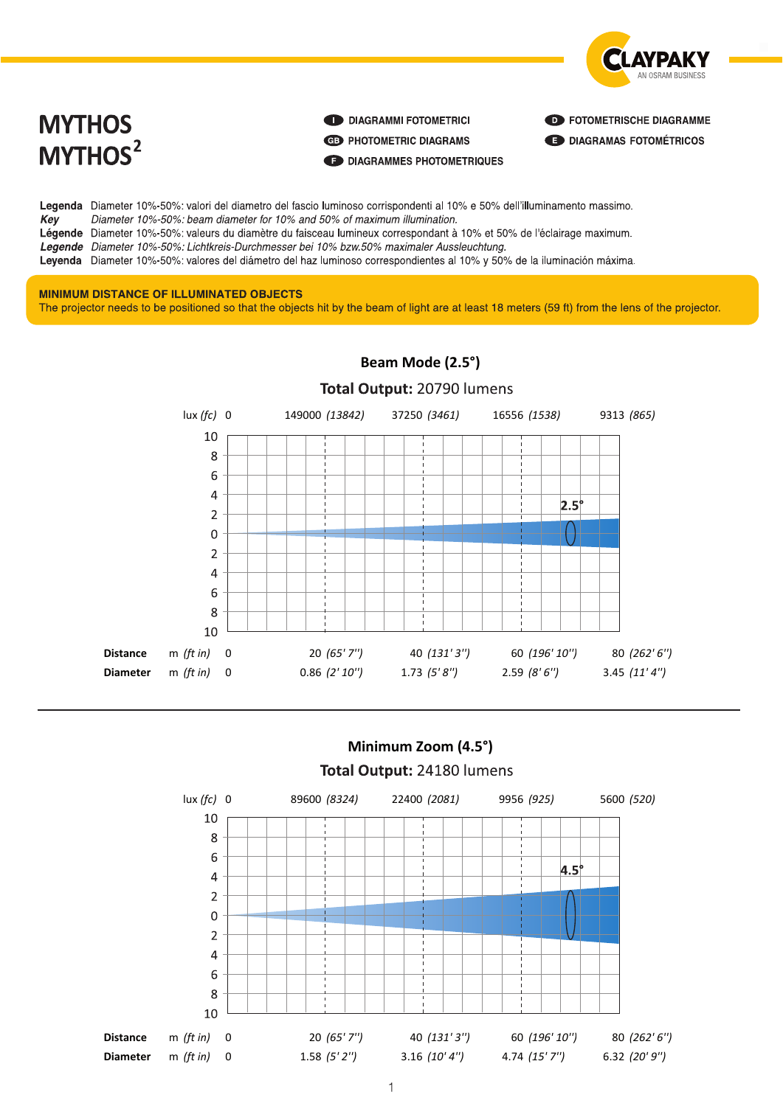

# **MYTHOS** MYTHOS<sup>2</sup>

DIAGRAMMI FOTOMETRICI

**ED PHOTOMETRIC DIAGRAMS** 

DIAGRAMMES PHOTOMETRIQUES

**ED FOTOMETRISCHE DIAGRAMME** 

**ED DIAGRAMAS FOTOMÉTRICOS** 

Legenda Diameter 10%-50%: valori del diametro del fascio luminoso corrispondenti al 10% e 50% dell'illuminamento massimo. Diameter 10%-50%: beam diameter for 10% and 50% of maximum illumination. Key Légende Diameter 10%-50%: valeurs du diamètre du faisceau lumineux correspondant à 10% et 50% de l'éclairage maximum. Legende Diameter 10%-50%: Lichtkreis-Durchmesser bei 10% bzw.50% maximaler Aussleuchtung. Leyenda Diameter 10%-50%: valores del diámetro del haz luminoso correspondientes al 10% y 50% de la iluminación máxima.

#### **MINIMUM DISTANCE OF ILLUMINATED OBJECTS**

The projector needs to be positioned so that the objects hit by the beam of light are at least 18 meters (59 ft) from the lens of the projector.



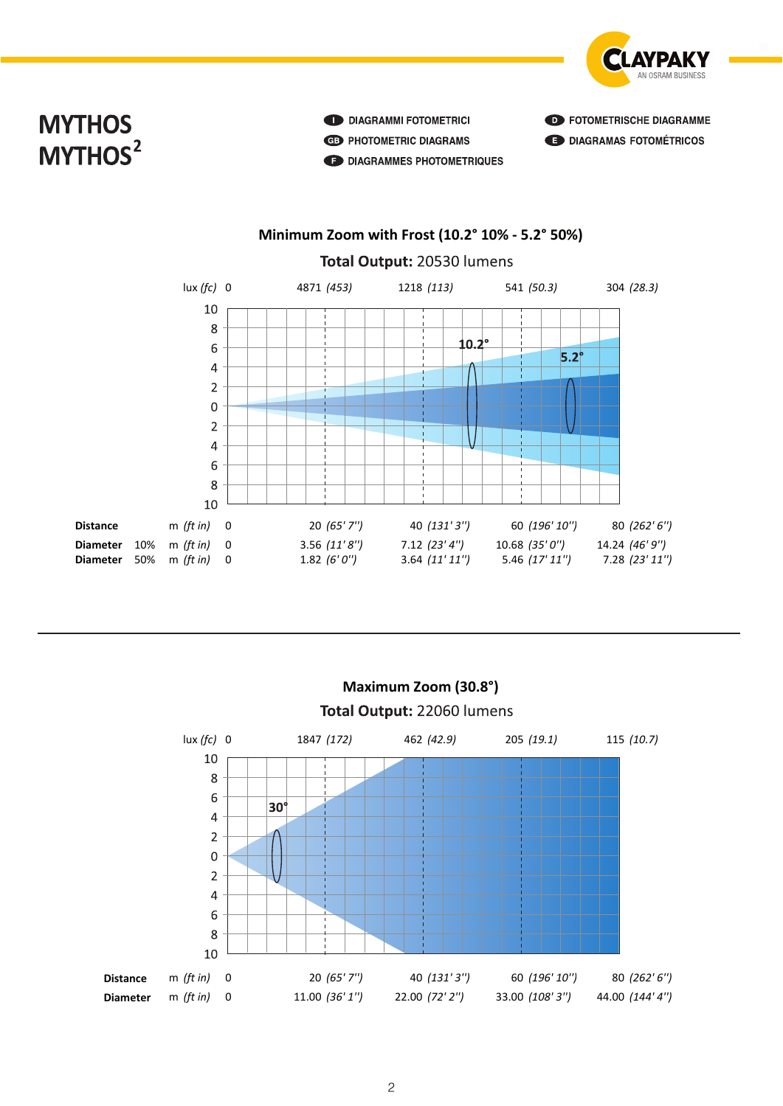

# **MYTHOS** MYTHOS<sup>2</sup>

DIAGRAMMI FOTOMETRICI **ED PHOTOMETRIC DIAGRAMS MY DIAGRAMMES PHOTOMETRIQUES**  **ED FOTOMETRISCHE DIAGRAMME ED DIAGRAMAS FOTOMÉTRICOS** 

### Minimum Zoom with Frost (10.2° 10% - 5.2° 50%)





**MYTHOS**

**MYTHOS**